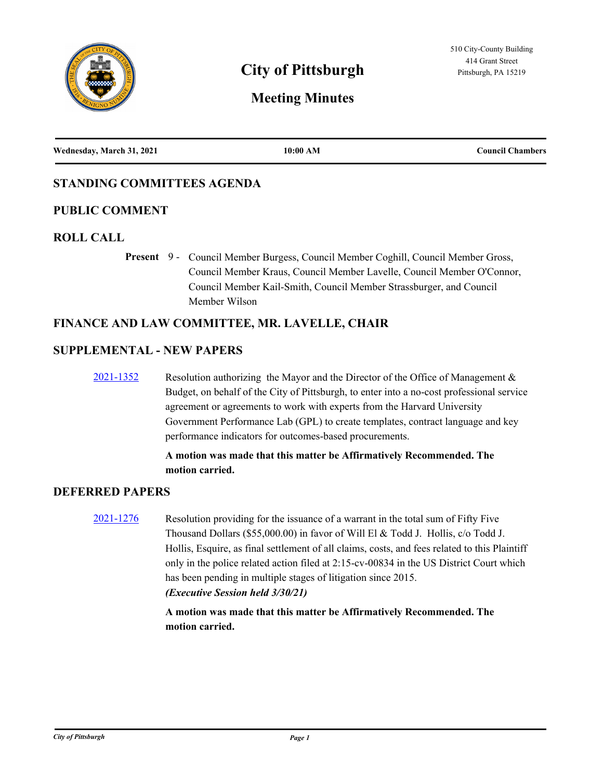

# **City of Pittsburgh Pittsburgh Pittsburgh, PA 15219**

# **Meeting Minutes**

| Wednesday, March 31, 2021 | 10:00 AM | <b>Council Chambers</b> |
|---------------------------|----------|-------------------------|
|                           |          |                         |

# **STANDING COMMITTEES AGENDA**

### **PUBLIC COMMENT**

#### **ROLL CALL**

Present 9 - Council Member Burgess, Council Member Coghill, Council Member Gross, Council Member Kraus, Council Member Lavelle, Council Member O'Connor, Council Member Kail-Smith, Council Member Strassburger, and Council Member Wilson

### **FINANCE AND LAW COMMITTEE, MR. LAVELLE, CHAIR**

#### **SUPPLEMENTAL - NEW PAPERS**

[2021-1352](http://pittsburgh.legistar.com/gateway.aspx?m=l&id=/matter.aspx?key=26191) Resolution authorizing the Mayor and the Director of the Office of Management & Budget, on behalf of the City of Pittsburgh, to enter into a no-cost professional service agreement or agreements to work with experts from the Harvard University Government Performance Lab (GPL) to create templates, contract language and key performance indicators for outcomes-based procurements.

### **A motion was made that this matter be Affirmatively Recommended. The motion carried.**

### **DEFERRED PAPERS**

[2021-1276](http://pittsburgh.legistar.com/gateway.aspx?m=l&id=/matter.aspx?key=26110) Resolution providing for the issuance of a warrant in the total sum of Fifty Five Thousand Dollars (\$55,000.00) in favor of Will El & Todd J. Hollis, c/o Todd J. Hollis, Esquire, as final settlement of all claims, costs, and fees related to this Plaintiff only in the police related action filed at 2:15-cv-00834 in the US District Court which has been pending in multiple stages of litigation since 2015. *(Executive Session held 3/30/21)*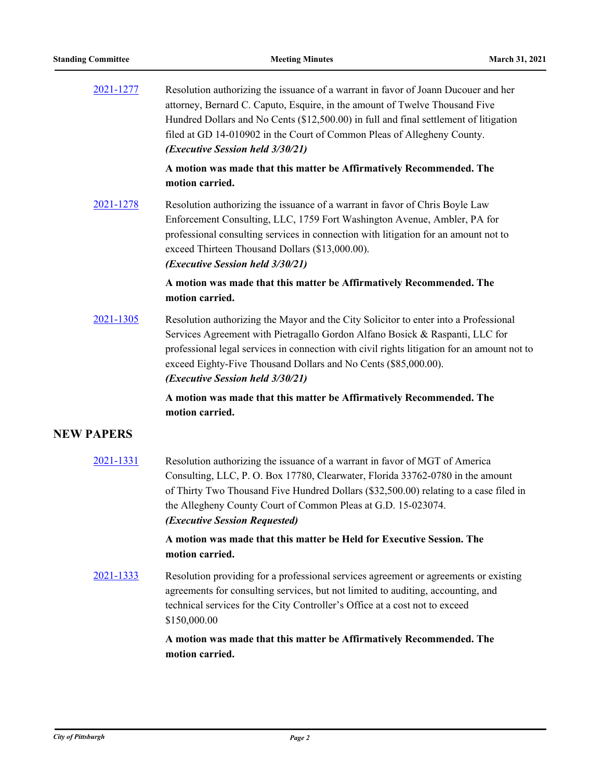| 2021-1277         | Resolution authorizing the issuance of a warrant in favor of Joann Ducouer and her<br>attorney, Bernard C. Caputo, Esquire, in the amount of Twelve Thousand Five<br>Hundred Dollars and No Cents (\$12,500.00) in full and final settlement of litigation<br>filed at GD 14-010902 in the Court of Common Pleas of Allegheny County.<br>(Executive Session held 3/30/21)  |
|-------------------|----------------------------------------------------------------------------------------------------------------------------------------------------------------------------------------------------------------------------------------------------------------------------------------------------------------------------------------------------------------------------|
|                   | A motion was made that this matter be Affirmatively Recommended. The<br>motion carried.                                                                                                                                                                                                                                                                                    |
| 2021-1278         | Resolution authorizing the issuance of a warrant in favor of Chris Boyle Law<br>Enforcement Consulting, LLC, 1759 Fort Washington Avenue, Ambler, PA for<br>professional consulting services in connection with litigation for an amount not to<br>exceed Thirteen Thousand Dollars (\$13,000.00).<br>(Executive Session held 3/30/21)                                     |
|                   | A motion was made that this matter be Affirmatively Recommended. The<br>motion carried.                                                                                                                                                                                                                                                                                    |
| 2021-1305         | Resolution authorizing the Mayor and the City Solicitor to enter into a Professional<br>Services Agreement with Pietragallo Gordon Alfano Bosick & Raspanti, LLC for<br>professional legal services in connection with civil rights litigation for an amount not to<br>exceed Eighty-Five Thousand Dollars and No Cents (\$85,000.00).<br>(Executive Session held 3/30/21) |
|                   | A motion was made that this matter be Affirmatively Recommended. The<br>motion carried.                                                                                                                                                                                                                                                                                    |
| <b>NEW PAPERS</b> |                                                                                                                                                                                                                                                                                                                                                                            |
| 2021-1331         | Resolution authorizing the issuance of a warrant in favor of MGT of America<br>Consulting, LLC, P. O. Box 17780, Clearwater, Florida 33762-0780 in the amount<br>of Thirty Two Thousand Five Hundred Dollars (\$32,500.00) relating to a case filed in<br>the Allegheny County Court of Common Pleas at G.D. 15-023074.<br>(Executive Session Requested)                   |
|                   | A motion was made that this matter be Held for Executive Session. The<br>motion carried.                                                                                                                                                                                                                                                                                   |
| 2021-1333         | Resolution providing for a professional services agreement or agreements or existing<br>agreements for consulting services, but not limited to auditing, accounting, and<br>technical services for the City Controller's Office at a cost not to exceed<br>\$150,000.00                                                                                                    |
|                   | A motion was made that this matter be Affirmatively Recommended. The<br>motion carried.                                                                                                                                                                                                                                                                                    |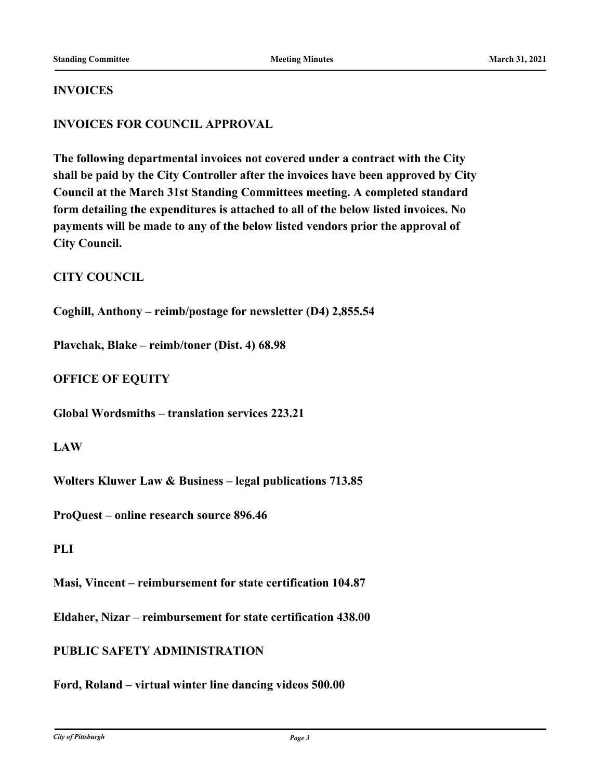#### **INVOICES**

# **INVOICES FOR COUNCIL APPROVAL**

**The following departmental invoices not covered under a contract with the City shall be paid by the City Controller after the invoices have been approved by City Council at the March 31st Standing Committees meeting. A completed standard form detailing the expenditures is attached to all of the below listed invoices. No payments will be made to any of the below listed vendors prior the approval of City Council.**

### **CITY COUNCIL**

**Coghill, Anthony – reimb/postage for newsletter (D4) 2,855.54**

**Plavchak, Blake – reimb/toner (Dist. 4) 68.98**

### **OFFICE OF EQUITY**

**Global Wordsmiths – translation services 223.21**

#### **LAW**

**Wolters Kluwer Law & Business – legal publications 713.85**

**ProQuest – online research source 896.46**

#### **PLI**

**Masi, Vincent – reimbursement for state certification 104.87**

**Eldaher, Nizar – reimbursement for state certification 438.00**

### **PUBLIC SAFETY ADMINISTRATION**

**Ford, Roland – virtual winter line dancing videos 500.00**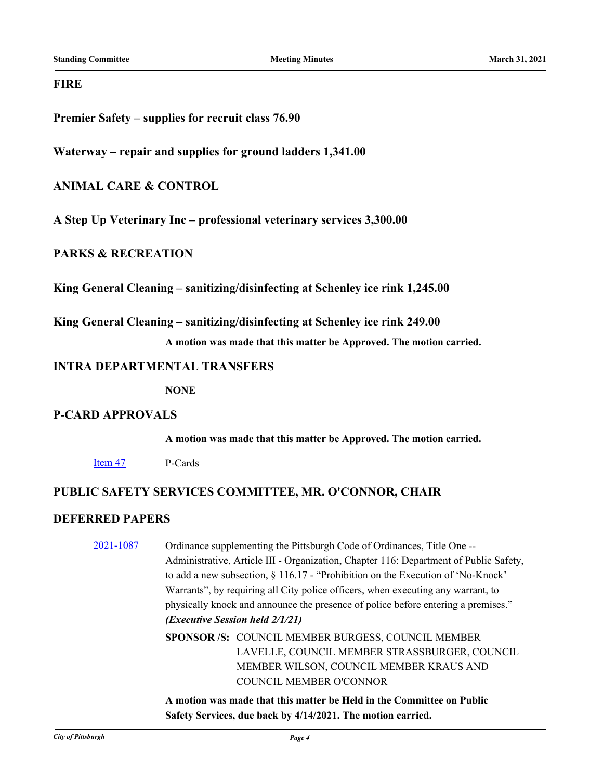#### **FIRE**

**Premier Safety – supplies for recruit class 76.90**

**Waterway – repair and supplies for ground ladders 1,341.00**

### **ANIMAL CARE & CONTROL**

**A Step Up Veterinary Inc – professional veterinary services 3,300.00**

### **PARKS & RECREATION**

**King General Cleaning – sanitizing/disinfecting at Schenley ice rink 1,245.00**

**King General Cleaning – sanitizing/disinfecting at Schenley ice rink 249.00**

**A motion was made that this matter be Approved. The motion carried.**

#### **INTRA DEPARTMENTAL TRANSFERS**

**NONE**

### **P-CARD APPROVALS**

**A motion was made that this matter be Approved. The motion carried.**

[Item 47](http://pittsburgh.legistar.com/gateway.aspx?m=l&id=/matter.aspx?key=26199) P-Cards

# **PUBLIC SAFETY SERVICES COMMITTEE, MR. O'CONNOR, CHAIR**

# **DEFERRED PAPERS**

[2021-1087](http://pittsburgh.legistar.com/gateway.aspx?m=l&id=/matter.aspx?key=25915) Ordinance supplementing the Pittsburgh Code of Ordinances, Title One -- Administrative, Article III - Organization, Chapter 116: Department of Public Safety, to add a new subsection, § 116.17 - "Prohibition on the Execution of 'No-Knock' Warrants", by requiring all City police officers, when executing any warrant, to physically knock and announce the presence of police before entering a premises." *(Executive Session held 2/1/21)* SPONSOR /S: COUNCIL MEMBER BURGESS, COUNCIL MEMBER LAVELLE, COUNCIL MEMBER STRASSBURGER, COUNCIL MEMBER WILSON, COUNCIL MEMBER KRAUS AND COUNCIL MEMBER O'CONNOR

> **A motion was made that this matter be Held in the Committee on Public Safety Services, due back by 4/14/2021. The motion carried.**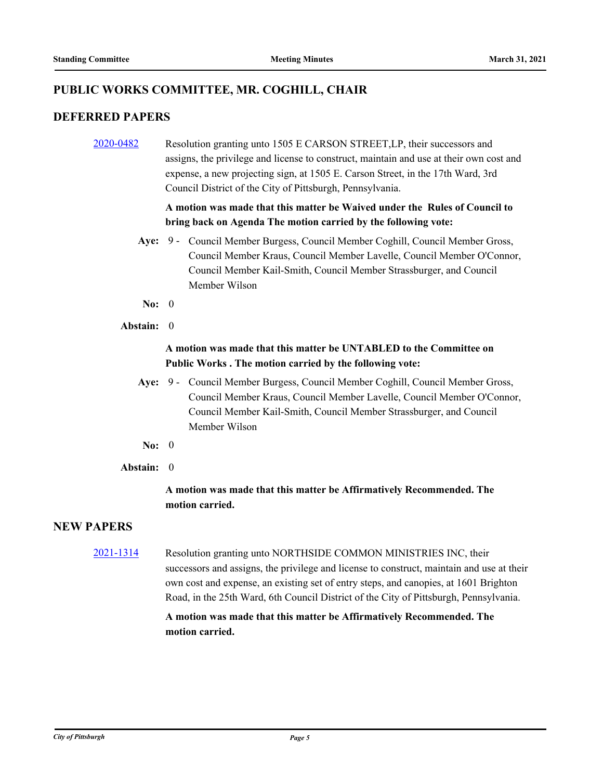# **PUBLIC WORKS COMMITTEE, MR. COGHILL, CHAIR**

#### **DEFERRED PAPERS**

[2020-0482](http://pittsburgh.legistar.com/gateway.aspx?m=l&id=/matter.aspx?key=25284) Resolution granting unto 1505 E CARSON STREET,LP, their successors and assigns, the privilege and license to construct, maintain and use at their own cost and expense, a new projecting sign, at 1505 E. Carson Street, in the 17th Ward, 3rd Council District of the City of Pittsburgh, Pennsylvania.

### **A motion was made that this matter be Waived under the Rules of Council to bring back on Agenda The motion carried by the following vote:**

- Aye: 9 Council Member Burgess, Council Member Coghill, Council Member Gross, Council Member Kraus, Council Member Lavelle, Council Member O'Connor, Council Member Kail-Smith, Council Member Strassburger, and Council Member Wilson
- **No:** 0
- **Abstain:** 0

### **A motion was made that this matter be UNTABLED to the Committee on Public Works . The motion carried by the following vote:**

- Aye: 9 Council Member Burgess, Council Member Coghill, Council Member Gross, Council Member Kraus, Council Member Lavelle, Council Member O'Connor, Council Member Kail-Smith, Council Member Strassburger, and Council Member Wilson
- **No:** 0
- **Abstain:** 0

# **A motion was made that this matter be Affirmatively Recommended. The motion carried.**

# **NEW PAPERS**

[2021-1314](http://pittsburgh.legistar.com/gateway.aspx?m=l&id=/matter.aspx?key=26152) Resolution granting unto NORTHSIDE COMMON MINISTRIES INC, their successors and assigns, the privilege and license to construct, maintain and use at their own cost and expense, an existing set of entry steps, and canopies, at 1601 Brighton Road, in the 25th Ward, 6th Council District of the City of Pittsburgh, Pennsylvania.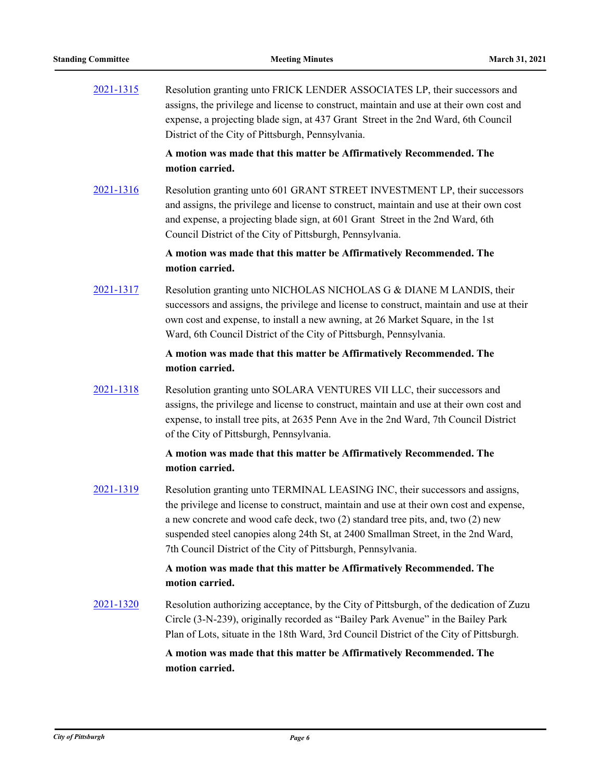[2021-1315](http://pittsburgh.legistar.com/gateway.aspx?m=l&id=/matter.aspx?key=26153) Resolution granting unto FRICK LENDER ASSOCIATES LP, their successors and assigns, the privilege and license to construct, maintain and use at their own cost and expense, a projecting blade sign, at 437 Grant Street in the 2nd Ward, 6th Council District of the City of Pittsburgh, Pennsylvania.

> **A motion was made that this matter be Affirmatively Recommended. The motion carried.**

[2021-1316](http://pittsburgh.legistar.com/gateway.aspx?m=l&id=/matter.aspx?key=26154) Resolution granting unto 601 GRANT STREET INVESTMENT LP, their successors and assigns, the privilege and license to construct, maintain and use at their own cost and expense, a projecting blade sign, at 601 Grant Street in the 2nd Ward, 6th Council District of the City of Pittsburgh, Pennsylvania.

#### **A motion was made that this matter be Affirmatively Recommended. The motion carried.**

[2021-1317](http://pittsburgh.legistar.com/gateway.aspx?m=l&id=/matter.aspx?key=26155) Resolution granting unto NICHOLAS NICHOLAS G & DIANE M LANDIS, their successors and assigns, the privilege and license to construct, maintain and use at their own cost and expense, to install a new awning, at 26 Market Square, in the 1st Ward, 6th Council District of the City of Pittsburgh, Pennsylvania.

#### **A motion was made that this matter be Affirmatively Recommended. The motion carried.**

[2021-1318](http://pittsburgh.legistar.com/gateway.aspx?m=l&id=/matter.aspx?key=26156) Resolution granting unto SOLARA VENTURES VII LLC, their successors and assigns, the privilege and license to construct, maintain and use at their own cost and expense, to install tree pits, at 2635 Penn Ave in the 2nd Ward, 7th Council District of the City of Pittsburgh, Pennsylvania.

#### **A motion was made that this matter be Affirmatively Recommended. The motion carried.**

[2021-1319](http://pittsburgh.legistar.com/gateway.aspx?m=l&id=/matter.aspx?key=26157) Resolution granting unto TERMINAL LEASING INC, their successors and assigns, the privilege and license to construct, maintain and use at their own cost and expense, a new concrete and wood cafe deck, two (2) standard tree pits, and, two (2) new suspended steel canopies along 24th St, at 2400 Smallman Street, in the 2nd Ward, 7th Council District of the City of Pittsburgh, Pennsylvania.

### **A motion was made that this matter be Affirmatively Recommended. The motion carried.**

[2021-1320](http://pittsburgh.legistar.com/gateway.aspx?m=l&id=/matter.aspx?key=26158) Resolution authorizing acceptance, by the City of Pittsburgh, of the dedication of Zuzu Circle (3-N-239), originally recorded as "Bailey Park Avenue" in the Bailey Park Plan of Lots, situate in the 18th Ward, 3rd Council District of the City of Pittsburgh.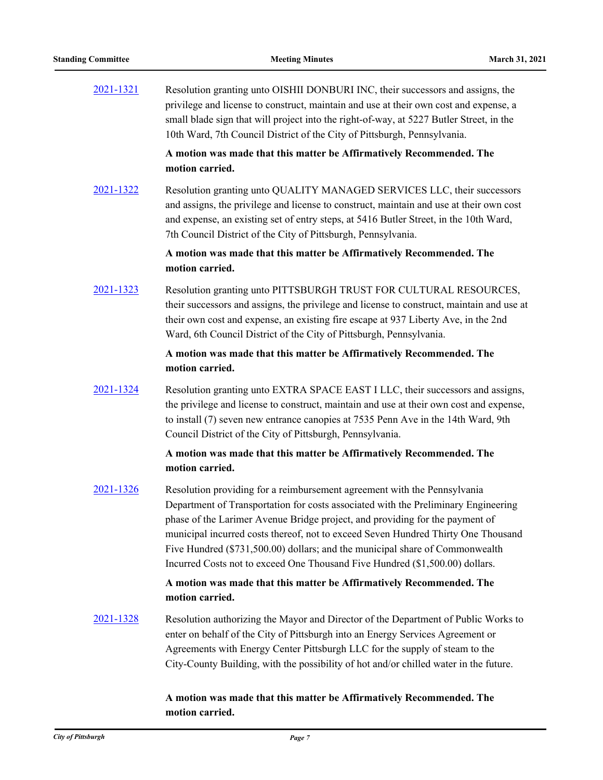[2021-1321](http://pittsburgh.legistar.com/gateway.aspx?m=l&id=/matter.aspx?key=26159) Resolution granting unto OISHII DONBURI INC, their successors and assigns, the privilege and license to construct, maintain and use at their own cost and expense, a small blade sign that will project into the right-of-way, at 5227 Butler Street, in the 10th Ward, 7th Council District of the City of Pittsburgh, Pennsylvania.

> **A motion was made that this matter be Affirmatively Recommended. The motion carried.**

[2021-1322](http://pittsburgh.legistar.com/gateway.aspx?m=l&id=/matter.aspx?key=26160) Resolution granting unto QUALITY MANAGED SERVICES LLC, their successors and assigns, the privilege and license to construct, maintain and use at their own cost and expense, an existing set of entry steps, at 5416 Butler Street, in the 10th Ward, 7th Council District of the City of Pittsburgh, Pennsylvania.

> **A motion was made that this matter be Affirmatively Recommended. The motion carried.**

[2021-1323](http://pittsburgh.legistar.com/gateway.aspx?m=l&id=/matter.aspx?key=26161) Resolution granting unto PITTSBURGH TRUST FOR CULTURAL RESOURCES, their successors and assigns, the privilege and license to construct, maintain and use at their own cost and expense, an existing fire escape at 937 Liberty Ave, in the 2nd Ward, 6th Council District of the City of Pittsburgh, Pennsylvania.

#### **A motion was made that this matter be Affirmatively Recommended. The motion carried.**

[2021-1324](http://pittsburgh.legistar.com/gateway.aspx?m=l&id=/matter.aspx?key=26162) Resolution granting unto EXTRA SPACE EAST I LLC, their successors and assigns, the privilege and license to construct, maintain and use at their own cost and expense, to install (7) seven new entrance canopies at 7535 Penn Ave in the 14th Ward, 9th Council District of the City of Pittsburgh, Pennsylvania.

#### **A motion was made that this matter be Affirmatively Recommended. The motion carried.**

[2021-1326](http://pittsburgh.legistar.com/gateway.aspx?m=l&id=/matter.aspx?key=26164) Resolution providing for a reimbursement agreement with the Pennsylvania Department of Transportation for costs associated with the Preliminary Engineering phase of the Larimer Avenue Bridge project, and providing for the payment of municipal incurred costs thereof, not to exceed Seven Hundred Thirty One Thousand Five Hundred (\$731,500.00) dollars; and the municipal share of Commonwealth Incurred Costs not to exceed One Thousand Five Hundred (\$1,500.00) dollars.

### **A motion was made that this matter be Affirmatively Recommended. The motion carried.**

[2021-1328](http://pittsburgh.legistar.com/gateway.aspx?m=l&id=/matter.aspx?key=26166) Resolution authorizing the Mayor and Director of the Department of Public Works to enter on behalf of the City of Pittsburgh into an Energy Services Agreement or Agreements with Energy Center Pittsburgh LLC for the supply of steam to the City-County Building, with the possibility of hot and/or chilled water in the future.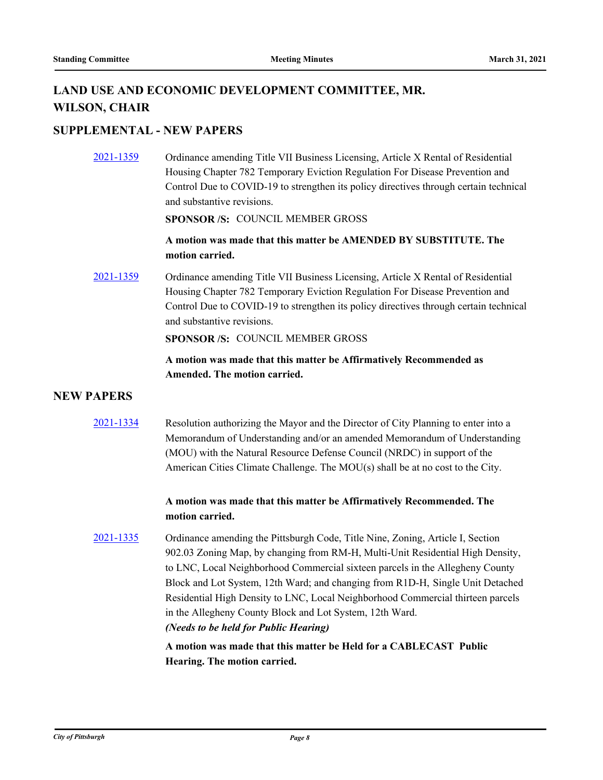# **LAND USE AND ECONOMIC DEVELOPMENT COMMITTEE, MR. WILSON, CHAIR**

# **SUPPLEMENTAL - NEW PAPERS**

[2021-1359](http://pittsburgh.legistar.com/gateway.aspx?m=l&id=/matter.aspx?key=26198) Ordinance amending Title VII Business Licensing, Article X Rental of Residential Housing Chapter 782 Temporary Eviction Regulation For Disease Prevention and Control Due to COVID-19 to strengthen its policy directives through certain technical and substantive revisions.

#### **SPONSOR /S:** COUNCIL MEMBER GROSS

# **A motion was made that this matter be AMENDED BY SUBSTITUTE. The motion carried.**

[2021-1359](http://pittsburgh.legistar.com/gateway.aspx?m=l&id=/matter.aspx?key=26198) Ordinance amending Title VII Business Licensing, Article X Rental of Residential Housing Chapter 782 Temporary Eviction Regulation For Disease Prevention and Control Due to COVID-19 to strengthen its policy directives through certain technical and substantive revisions.

**SPONSOR /S:** COUNCIL MEMBER GROSS

### **A motion was made that this matter be Affirmatively Recommended as Amended. The motion carried.**

#### **NEW PAPERS**

[2021-1334](http://pittsburgh.legistar.com/gateway.aspx?m=l&id=/matter.aspx?key=26172) Resolution authorizing the Mayor and the Director of City Planning to enter into a Memorandum of Understanding and/or an amended Memorandum of Understanding (MOU) with the Natural Resource Defense Council (NRDC) in support of the American Cities Climate Challenge. The MOU(s) shall be at no cost to the City.

### **A motion was made that this matter be Affirmatively Recommended. The motion carried.**

[2021-1335](http://pittsburgh.legistar.com/gateway.aspx?m=l&id=/matter.aspx?key=26173) Ordinance amending the Pittsburgh Code, Title Nine, Zoning, Article I, Section 902.03 Zoning Map, by changing from RM-H, Multi-Unit Residential High Density, to LNC, Local Neighborhood Commercial sixteen parcels in the Allegheny County Block and Lot System, 12th Ward; and changing from R1D-H, Single Unit Detached Residential High Density to LNC, Local Neighborhood Commercial thirteen parcels in the Allegheny County Block and Lot System, 12th Ward. *(Needs to be held for Public Hearing)*

> **A motion was made that this matter be Held for a CABLECAST Public Hearing. The motion carried.**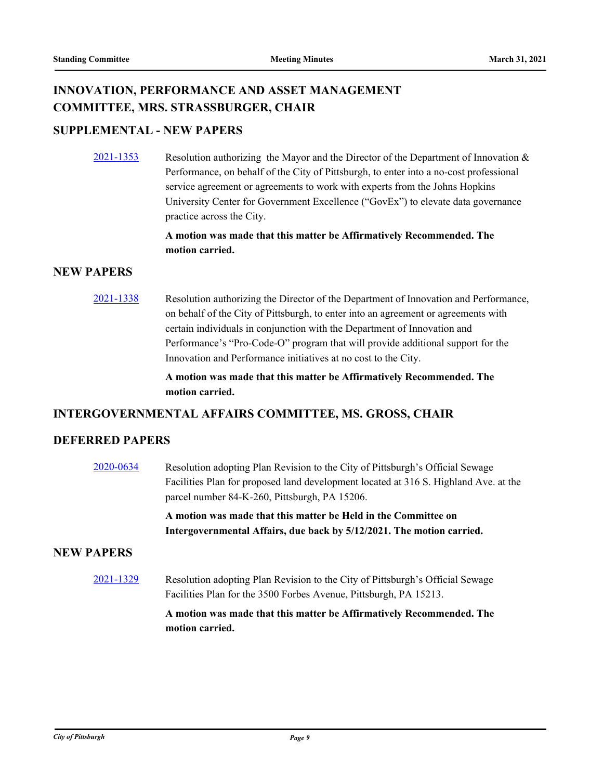# **INNOVATION, PERFORMANCE AND ASSET MANAGEMENT COMMITTEE, MRS. STRASSBURGER, CHAIR**

# **SUPPLEMENTAL - NEW PAPERS**

 $\frac{2021-1353}{2021-1353}$  $\frac{2021-1353}{2021-1353}$  $\frac{2021-1353}{2021-1353}$  Resolution authorizing the Mayor and the Director of the Department of Innovation & Performance, on behalf of the City of Pittsburgh, to enter into a no-cost professional service agreement or agreements to work with experts from the Johns Hopkins University Center for Government Excellence ("GovEx") to elevate data governance practice across the City.

#### **A motion was made that this matter be Affirmatively Recommended. The motion carried.**

# **NEW PAPERS**

[2021-1338](http://pittsburgh.legistar.com/gateway.aspx?m=l&id=/matter.aspx?key=26176) Resolution authorizing the Director of the Department of Innovation and Performance, on behalf of the City of Pittsburgh, to enter into an agreement or agreements with certain individuals in conjunction with the Department of Innovation and Performance's "Pro-Code-O" program that will provide additional support for the Innovation and Performance initiatives at no cost to the City.

> **A motion was made that this matter be Affirmatively Recommended. The motion carried.**

#### **INTERGOVERNMENTAL AFFAIRS COMMITTEE, MS. GROSS, CHAIR**

#### **DEFERRED PAPERS**

[2020-0634](http://pittsburgh.legistar.com/gateway.aspx?m=l&id=/matter.aspx?key=25443) Resolution adopting Plan Revision to the City of Pittsburgh's Official Sewage Facilities Plan for proposed land development located at 316 S. Highland Ave. at the parcel number 84-K-260, Pittsburgh, PA 15206.

> **A motion was made that this matter be Held in the Committee on Intergovernmental Affairs, due back by 5/12/2021. The motion carried.**

#### **NEW PAPERS**

[2021-1329](http://pittsburgh.legistar.com/gateway.aspx?m=l&id=/matter.aspx?key=26167) Resolution adopting Plan Revision to the City of Pittsburgh's Official Sewage Facilities Plan for the 3500 Forbes Avenue, Pittsburgh, PA 15213.